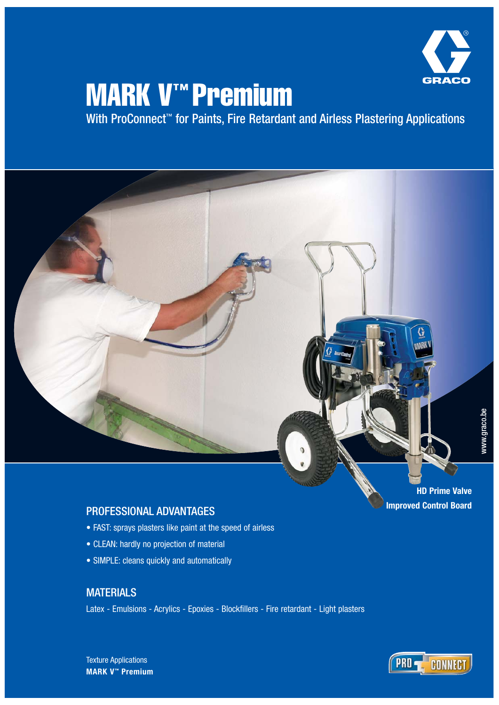

# MARK V™ Premium

With ProConnect<sup>™</sup> for Paints, Fire Retardant and Airless Plastering Applications



### PROFESSIONAL ADVANTAGES

- FAST: sprays plasters like paint at the speed of airless
- CLEAN: hardly no projection of material
- SIMPLE: cleans quickly and automatically

### **MATERIALS**

Latex - Emulsions - Acrylics - Epoxies - Blockfillers - Fire retardant - Light plasters

**HD Prime Valve Improved Control Board**